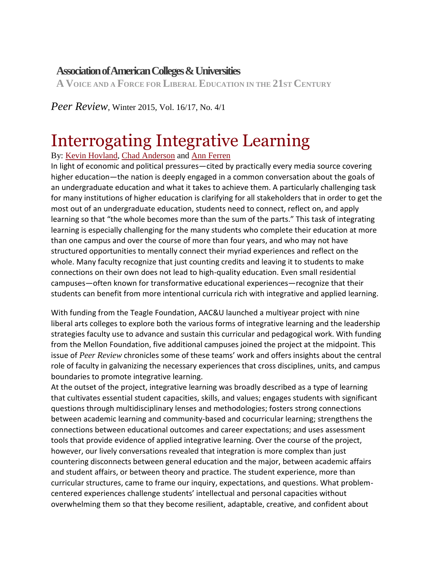## **[AssociationofAmericanColleges&Universities](https://www.aacu.org/)**

**A VOICE AND A FORCE FOR LIBERAL EDUCATION IN THE 21ST CENTURY**

*Peer Review*, Winter 2015, Vol. 16/17, No. 4/1

# Interrogating Integrative Learning

By: Kevin [Hovland,](https://www.aacu.org/contributor/kevin-hovland) Chad [Anderson](https://www.aacu.org/contributor/chad-anderson) and Ann [Ferren](https://www.aacu.org/contributor/ann-ferren)

In light of economic and political pressures—cited by practically every media source covering higher education—the nation is deeply engaged in a common conversation about the goals of an undergraduate education and what it takes to achieve them. A particularly challenging task for many institutions of higher education is clarifying for all stakeholders that in order to get the most out of an undergraduate education, students need to connect, reflect on, and apply learning so that "the whole becomes more than the sum of the parts." This task of integrating learning is especially challenging for the many students who complete their education at more than one campus and over the course of more than four years, and who may not have structured opportunities to mentally connect their myriad experiences and reflect on the whole. Many faculty recognize that just counting credits and leaving it to students to make connections on their own does not lead to high-quality education. Even small residential campuses—often known for transformative educational experiences—recognize that their students can benefit from more intentional curricula rich with integrative and applied learning.

With funding from the Teagle Foundation, AAC&U launched a multiyear project with nine liberal arts colleges to explore both the various forms of integrative learning and the leadership strategies faculty use to advance and sustain this curricular and pedagogical work. With funding from the Mellon Foundation, five additional campuses joined the project at the midpoint. This issue of *Peer Review* chronicles some of these teams' work and offers insights about the central role of faculty in galvanizing the necessary experiences that cross disciplines, units, and campus boundaries to promote integrative learning.

At the outset of the project, integrative learning was broadly described as a type of learning that cultivates essential student capacities, skills, and values; engages students with significant questions through multidisciplinary lenses and methodologies; fosters strong connections between academic learning and community-based and cocurricular learning; strengthens the connections between educational outcomes and career expectations; and uses assessment tools that provide evidence of applied integrative learning. Over the course of the project, however, our lively conversations revealed that integration is more complex than just countering disconnects between general education and the major, between academic affairs and student affairs, or between theory and practice. The student experience, more than curricular structures, came to frame our inquiry, expectations, and questions. What problemcentered experiences challenge students' intellectual and personal capacities without overwhelming them so that they become resilient, adaptable, creative, and confident about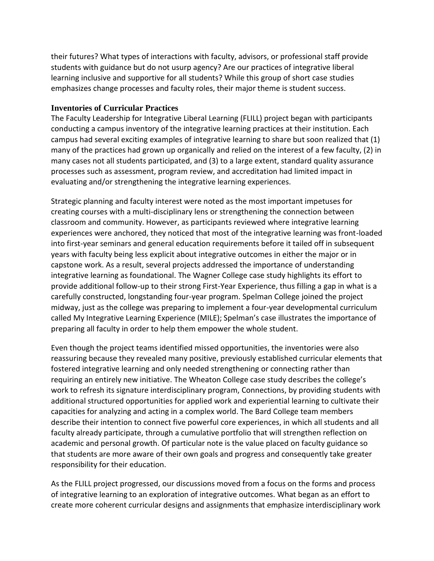their futures? What types of interactions with faculty, advisors, or professional staff provide students with guidance but do not usurp agency? Are our practices of integrative liberal learning inclusive and supportive for all students? While this group of short case studies emphasizes change processes and faculty roles, their major theme is student success.

#### **Inventories of Curricular Practices**

The Faculty Leadership for Integrative Liberal Learning (FLILL) project began with participants conducting a campus inventory of the integrative learning practices at their institution. Each campus had several exciting examples of integrative learning to share but soon realized that (1) many of the practices had grown up organically and relied on the interest of a few faculty, (2) in many cases not all students participated, and (3) to a large extent, standard quality assurance processes such as assessment, program review, and accreditation had limited impact in evaluating and/or strengthening the integrative learning experiences.

Strategic planning and faculty interest were noted as the most important impetuses for creating courses with a multi-disciplinary lens or strengthening the connection between classroom and community. However, as participants reviewed where integrative learning experiences were anchored, they noticed that most of the integrative learning was front-loaded into first-year seminars and general education requirements before it tailed off in subsequent years with faculty being less explicit about integrative outcomes in either the major or in capstone work. As a result, several projects addressed the importance of understanding integrative learning as foundational. The Wagner College case study highlights its effort to provide additional follow-up to their strong First-Year Experience, thus filling a gap in what is a carefully constructed, longstanding four-year program. Spelman College joined the project midway, just as the college was preparing to implement a four-year developmental curriculum called My Integrative Learning Experience (MILE); Spelman's case illustrates the importance of preparing all faculty in order to help them empower the whole student.

Even though the project teams identified missed opportunities, the inventories were also reassuring because they revealed many positive, previously established curricular elements that fostered integrative learning and only needed strengthening or connecting rather than requiring an entirely new initiative. The Wheaton College case study describes the college's work to refresh its signature interdisciplinary program, Connections, by providing students with additional structured opportunities for applied work and experiential learning to cultivate their capacities for analyzing and acting in a complex world. The Bard College team members describe their intention to connect five powerful core experiences, in which all students and all faculty already participate, through a cumulative portfolio that will strengthen reflection on academic and personal growth. Of particular note is the value placed on faculty guidance so that students are more aware of their own goals and progress and consequently take greater responsibility for their education.

As the FLILL project progressed, our discussions moved from a focus on the forms and process of integrative learning to an exploration of integrative outcomes. What began as an effort to create more coherent curricular designs and assignments that emphasize interdisciplinary work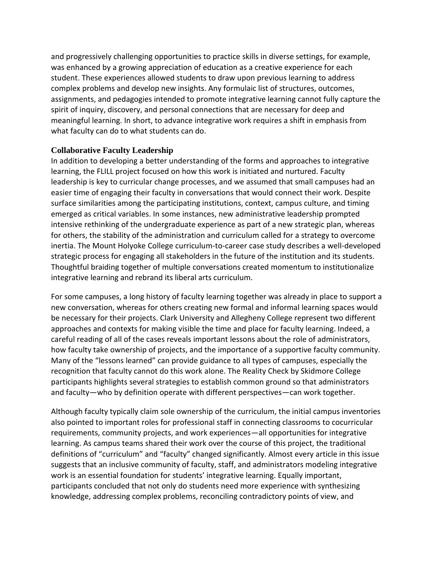and progressively challenging opportunities to practice skills in diverse settings, for example, was enhanced by a growing appreciation of education as a creative experience for each student. These experiences allowed students to draw upon previous learning to address complex problems and develop new insights. Any formulaic list of structures, outcomes, assignments, and pedagogies intended to promote integrative learning cannot fully capture the spirit of inquiry, discovery, and personal connections that are necessary for deep and meaningful learning. In short, to advance integrative work requires a shift in emphasis from what faculty can do to what students can do.

### **Collaborative Faculty Leadership**

In addition to developing a better understanding of the forms and approaches to integrative learning, the FLILL project focused on how this work is initiated and nurtured. Faculty leadership is key to curricular change processes, and we assumed that small campuses had an easier time of engaging their faculty in conversations that would connect their work. Despite surface similarities among the participating institutions, context, campus culture, and timing emerged as critical variables. In some instances, new administrative leadership prompted intensive rethinking of the undergraduate experience as part of a new strategic plan, whereas for others, the stability of the administration and curriculum called for a strategy to overcome inertia. The Mount Holyoke College curriculum-to-career case study describes a well-developed strategic process for engaging all stakeholders in the future of the institution and its students. Thoughtful braiding together of multiple conversations created momentum to institutionalize integrative learning and rebrand its liberal arts curriculum.

For some campuses, a long history of faculty learning together was already in place to support a new conversation, whereas for others creating new formal and informal learning spaces would be necessary for their projects. Clark University and Allegheny College represent two different approaches and contexts for making visible the time and place for faculty learning. Indeed, a careful reading of all of the cases reveals important lessons about the role of administrators, how faculty take ownership of projects, and the importance of a supportive faculty community. Many of the "lessons learned" can provide guidance to all types of campuses, especially the recognition that faculty cannot do this work alone. The Reality Check by Skidmore College participants highlights several strategies to establish common ground so that administrators and faculty—who by definition operate with different perspectives—can work together.

Although faculty typically claim sole ownership of the curriculum, the initial campus inventories also pointed to important roles for professional staff in connecting classrooms to cocurricular requirements, community projects, and work experiences—all opportunities for integrative learning. As campus teams shared their work over the course of this project, the traditional definitions of "curriculum" and "faculty" changed significantly. Almost every article in this issue suggests that an inclusive community of faculty, staff, and administrators modeling integrative work is an essential foundation for students' integrative learning. Equally important, participants concluded that not only do students need more experience with synthesizing knowledge, addressing complex problems, reconciling contradictory points of view, and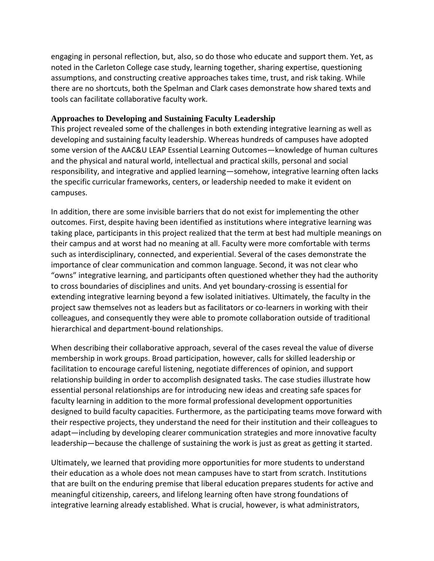engaging in personal reflection, but, also, so do those who educate and support them. Yet, as noted in the Carleton College case study, learning together, sharing expertise, questioning assumptions, and constructing creative approaches takes time, trust, and risk taking. While there are no shortcuts, both the Spelman and Clark cases demonstrate how shared texts and tools can facilitate collaborative faculty work.

#### **Approaches to Developing and Sustaining Faculty Leadership**

This project revealed some of the challenges in both extending integrative learning as well as developing and sustaining faculty leadership. Whereas hundreds of campuses have adopted some version of the AAC&U LEAP Essential Learning Outcomes—knowledge of human cultures and the physical and natural world, intellectual and practical skills, personal and social responsibility, and integrative and applied learning—somehow, integrative learning often lacks the specific curricular frameworks, centers, or leadership needed to make it evident on campuses.

In addition, there are some invisible barriers that do not exist for implementing the other outcomes. First, despite having been identified as institutions where integrative learning was taking place, participants in this project realized that the term at best had multiple meanings on their campus and at worst had no meaning at all. Faculty were more comfortable with terms such as interdisciplinary, connected, and experiential. Several of the cases demonstrate the importance of clear communication and common language. Second, it was not clear who "owns" integrative learning, and participants often questioned whether they had the authority to cross boundaries of disciplines and units. And yet boundary-crossing is essential for extending integrative learning beyond a few isolated initiatives. Ultimately, the faculty in the project saw themselves not as leaders but as facilitators or co-learners in working with their colleagues, and consequently they were able to promote collaboration outside of traditional hierarchical and department-bound relationships.

When describing their collaborative approach, several of the cases reveal the value of diverse membership in work groups. Broad participation, however, calls for skilled leadership or facilitation to encourage careful listening, negotiate differences of opinion, and support relationship building in order to accomplish designated tasks. The case studies illustrate how essential personal relationships are for introducing new ideas and creating safe spaces for faculty learning in addition to the more formal professional development opportunities designed to build faculty capacities. Furthermore, as the participating teams move forward with their respective projects, they understand the need for their institution and their colleagues to adapt—including by developing clearer communication strategies and more innovative faculty leadership—because the challenge of sustaining the work is just as great as getting it started.

Ultimately, we learned that providing more opportunities for more students to understand their education as a whole does not mean campuses have to start from scratch. Institutions that are built on the enduring premise that liberal education prepares students for active and meaningful citizenship, careers, and lifelong learning often have strong foundations of integrative learning already established. What is crucial, however, is what administrators,